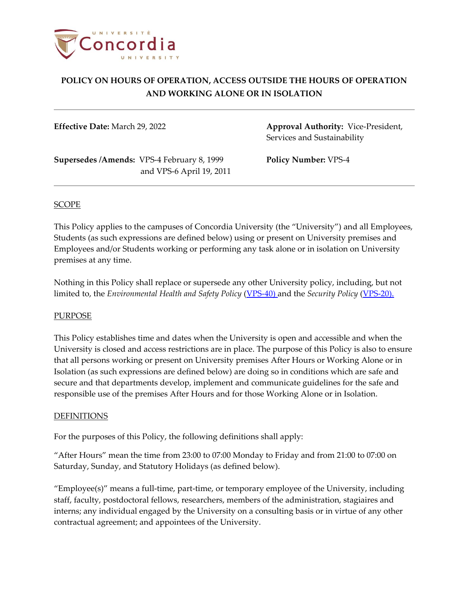

**Effective Date:** March 29, 2022 **Approval Authority:** Vice-President, Services and Sustainability

**Supersedes /Amends:** VPS-4 February 8, 1999 **Policy Number:** VPS-4 and VPS-6 April 19, 2011

## SCOPE

This Policy applies to the campuses of Concordia University (the "University") and all Employees, Students (as such expressions are defined below) using or present on University premises and Employees and/or Students working or performing any task alone or in isolation on University premises at any time.

Nothing in this Policy shall replace or supersede any other University policy, including, but not limited to, the *Environmental Health and Safety Policy* [\(VPS-40\)](http://www.concordia.ca/content/dam/common/docs/policies/official-policies/VPS-40.pdf) and the *Security Policy* [\(VPS-20\)](http://www.concordia.ca/content/dam/common/docs/policies/official-policies/VPS-20.pdf).

## PURPOSE

This Policy establishes time and dates when the University is open and accessible and when the University is closed and access restrictions are in place. The purpose of this Policy is also to ensure that all persons working or present on University premises After Hours or Working Alone or in Isolation (as such expressions are defined below) are doing so in conditions which are safe and secure and that departments develop, implement and communicate guidelines for the safe and responsible use of the premises After Hours and for those Working Alone or in Isolation.

#### DEFINITIONS

For the purposes of this Policy, the following definitions shall apply:

"After Hours" mean the time from 23:00 to 07:00 Monday to Friday and from 21:00 to 07:00 on Saturday, Sunday, and Statutory Holidays (as defined below).

"Employee(s)" means a full-time, part-time, or temporary employee of the University, including staff, faculty, postdoctoral fellows, researchers, members of the administration, stagiaires and interns; any individual engaged by the University on a consulting basis or in virtue of any other contractual agreement; and appointees of the University.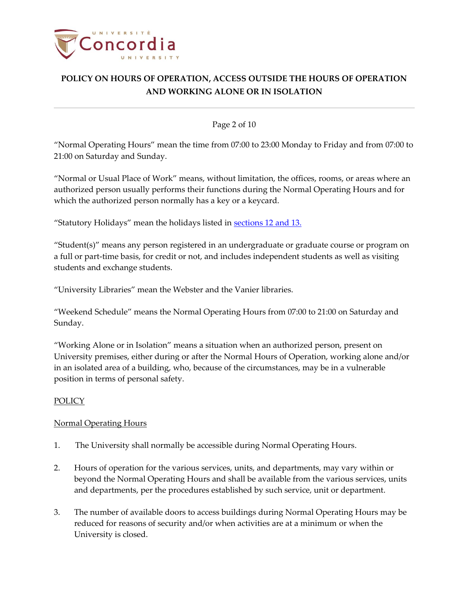

#### Page 2 of 10

"Normal Operating Hours" mean the time from 07:00 to 23:00 Monday to Friday and from 07:00 to 21:00 on Saturday and Sunday.

"Normal or Usual Place of Work" means, without limitation, the offices, rooms, or areas where an authorized person usually performs their functions during the Normal Operating Hours and for which the authorized person normally has a key or a keycard.

"Statutory Holidays" mean the holidays listed in [sections](#page-3-0) 12 and 13.

"Student(s)" means any person registered in an undergraduate or graduate course or program on a full or part-time basis, for credit or not, and includes independent students as well as visiting students and exchange students.

"University Libraries" mean the Webster and the Vanier libraries.

"Weekend Schedule" means the Normal Operating Hours from 07:00 to 21:00 on Saturday and Sunday.

"Working Alone or in Isolation" means a situation when an authorized person, present on University premises, either during or after the Normal Hours of Operation, working alone and/or in an isolated area of a building, who, because of the circumstances, may be in a vulnerable position in terms of personal safety.

## POLICY

## Normal Operating Hours

- 1. The University shall normally be accessible during Normal Operating Hours.
- 2. Hours of operation for the various services, units, and departments, may vary within or beyond the Normal Operating Hours and shall be available from the various services, units and departments, per the procedures established by such service, unit or department.
- 3. The number of available doors to access buildings during Normal Operating Hours may be reduced for reasons of security and/or when activities are at a minimum or when the University is closed.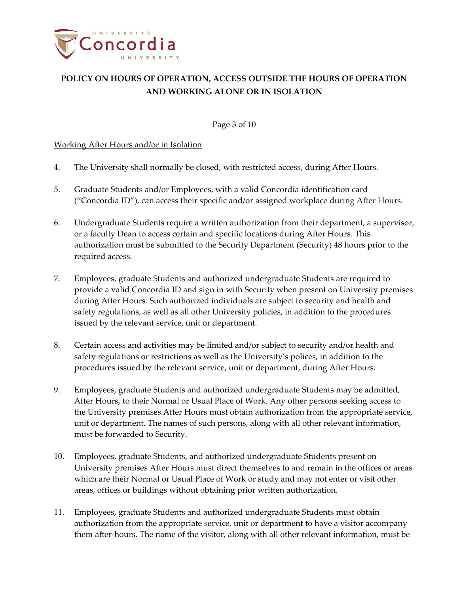

Page 3 of 10

## Working After Hours and/or in Isolation

- 4. The University shall normally be closed, with restricted access, during After Hours.
- 5. Graduate Students and/or Employees, with a valid Concordia identification card ("Concordia ID"), can access their specific and/or assigned workplace during After Hours.
- 6. Undergraduate Students require a written authorization from their department, a supervisor, or a faculty Dean to access certain and specific locations during After Hours. This authorization must be submitted to the Security Department (Security) 48 hours prior to the required access.
- 7. Employees, graduate Students and authorized undergraduate Students are required to provide a valid Concordia ID and sign in with Security when present on University premises during After Hours. Such authorized individuals are subject to security and health and safety regulations, as well as all other University policies, in addition to the procedures issued by the relevant service, unit or department.
- 8. Certain access and activities may be limited and/or subject to security and/or health and safety regulations or restrictions as well as the University's polices, in addition to the procedures issued by the relevant service, unit or department, during After Hours.
- 9. Employees, graduate Students and authorized undergraduate Students may be admitted, After Hours, to their Normal or Usual Place of Work. Any other persons seeking access to the University premises After Hours must obtain authorization from the appropriate service, unit or department. The names of such persons, along with all other relevant information, must be forwarded to Security.
- 10. Employees, graduate Students, and authorized undergraduate Students present on University premises After Hours must direct themselves to and remain in the offices or areas which are their Normal or Usual Place of Work or study and may not enter or visit other areas, offices or buildings without obtaining prior written authorization.
- 11. Employees, graduate Students and authorized undergraduate Students must obtain authorization from the appropriate service, unit or department to have a visitor accompany them after-hours. The name of the visitor, along with all other relevant information, must be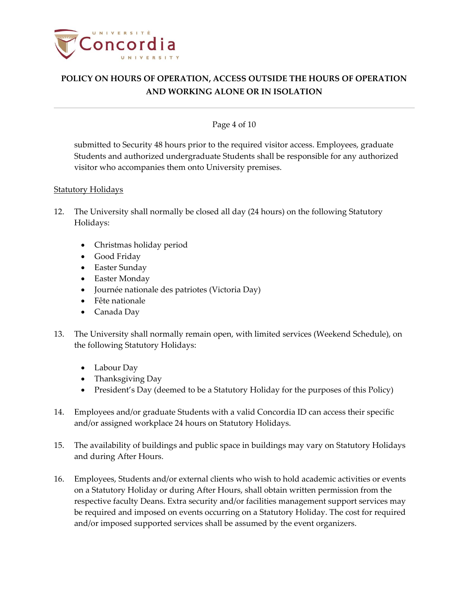

## Page 4 of 10

submitted to Security 48 hours prior to the required visitor access. Employees, graduate Students and authorized undergraduate Students shall be responsible for any authorized visitor who accompanies them onto University premises.

## **Statutory Holidays**

- <span id="page-3-0"></span>12. The University shall normally be closed all day (24 hours) on the following Statutory Holidays:
	- Christmas holiday period
	- Good Friday
	- Easter Sunday
	- Easter Monday
	- Journée nationale des patriotes (Victoria Day)
	- Fête nationale
	- Canada Day
- 13. The University shall normally remain open, with limited services (Weekend Schedule), on the following Statutory Holidays:
	- Labour Day
	- Thanksgiving Day
	- President's Day (deemed to be a Statutory Holiday for the purposes of this Policy)
- 14. Employees and/or graduate Students with a valid Concordia ID can access their specific and/or assigned workplace 24 hours on Statutory Holidays.
- 15. The availability of buildings and public space in buildings may vary on Statutory Holidays and during After Hours.
- 16. Employees, Students and/or external clients who wish to hold academic activities or events on a Statutory Holiday or during After Hours, shall obtain written permission from the respective faculty Deans. Extra security and/or facilities management support services may be required and imposed on events occurring on a Statutory Holiday. The cost for required and/or imposed supported services shall be assumed by the event organizers.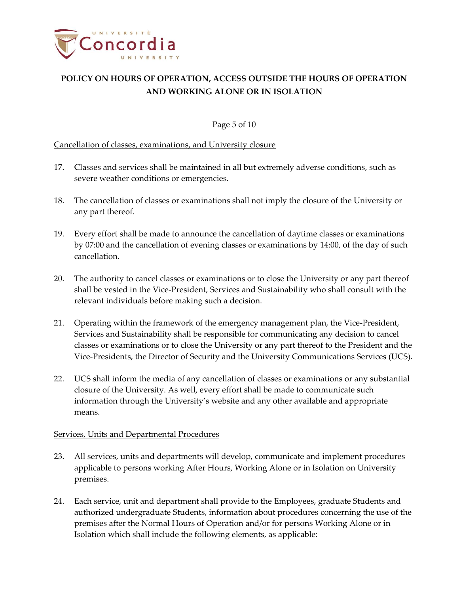

Page 5 of 10

## Cancellation of classes, examinations, and University closure

- 17. Classes and services shall be maintained in all but extremely adverse conditions, such as severe weather conditions or emergencies.
- 18. The cancellation of classes or examinations shall not imply the closure of the University or any part thereof.
- 19. Every effort shall be made to announce the cancellation of daytime classes or examinations by 07:00 and the cancellation of evening classes or examinations by 14:00, of the day of such cancellation.
- 20. The authority to cancel classes or examinations or to close the University or any part thereof shall be vested in the Vice-President, Services and Sustainability who shall consult with the relevant individuals before making such a decision.
- 21. Operating within the framework of the emergency management plan, the Vice-President, Services and Sustainability shall be responsible for communicating any decision to cancel classes or examinations or to close the University or any part thereof to the President and the Vice-Presidents, the Director of Security and the University Communications Services (UCS).
- 22. UCS shall inform the media of any cancellation of classes or examinations or any substantial closure of the University. As well, every effort shall be made to communicate such information through the University's website and any other available and appropriate means.

## Services, Units and Departmental Procedures

- 23. All services, units and departments will develop, communicate and implement procedures applicable to persons working After Hours, Working Alone or in Isolation on University premises.
- 24. Each service, unit and department shall provide to the Employees, graduate Students and authorized undergraduate Students, information about procedures concerning the use of the premises after the Normal Hours of Operation and/or for persons Working Alone or in Isolation which shall include the following elements, as applicable: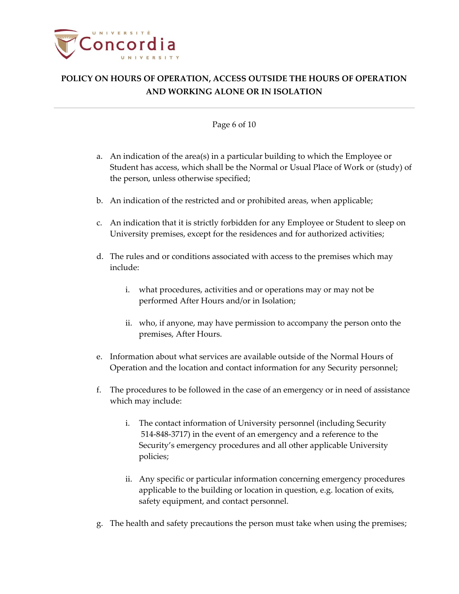

#### Page 6 of 10

- a. An indication of the area(s) in a particular building to which the Employee or Student has access, which shall be the Normal or Usual Place of Work or (study) of the person, unless otherwise specified;
- b. An indication of the restricted and or prohibited areas, when applicable;
- c. An indication that it is strictly forbidden for any Employee or Student to sleep on University premises, except for the residences and for authorized activities;
- d. The rules and or conditions associated with access to the premises which may include:
	- i. what procedures, activities and or operations may or may not be performed After Hours and/or in Isolation;
	- ii. who, if anyone, may have permission to accompany the person onto the premises, After Hours.
- e. Information about what services are available outside of the Normal Hours of Operation and the location and contact information for any Security personnel;
- f. The procedures to be followed in the case of an emergency or in need of assistance which may include:
	- i. The contact information of University personnel (including Security 514-848-3717) in the event of an emergency and a reference to the Security's emergency procedures and all other applicable University policies;
	- ii. Any specific or particular information concerning emergency procedures applicable to the building or location in question, e.g. location of exits, safety equipment, and contact personnel.
- g. The health and safety precautions the person must take when using the premises;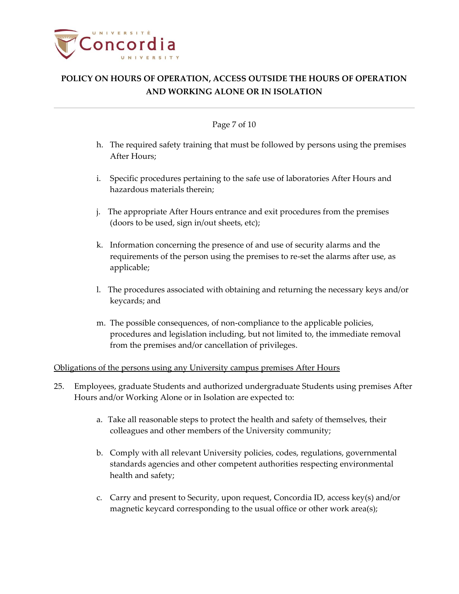

#### Page 7 of 10

- h. The required safety training that must be followed by persons using the premises After Hours;
- i. Specific procedures pertaining to the safe use of laboratories After Hours and hazardous materials therein;
- j. The appropriate After Hours entrance and exit procedures from the premises (doors to be used, sign in/out sheets, etc);
- k. Information concerning the presence of and use of security alarms and the requirements of the person using the premises to re-set the alarms after use, as applicable;
- l. The procedures associated with obtaining and returning the necessary keys and/or keycards; and
- m. The possible consequences, of non-compliance to the applicable policies, procedures and legislation including, but not limited to, the immediate removal from the premises and/or cancellation of privileges.

## Obligations of the persons using any University campus premises After Hours

- 25. Employees, graduate Students and authorized undergraduate Students using premises After Hours and/or Working Alone or in Isolation are expected to:
	- a. Take all reasonable steps to protect the health and safety of themselves, their colleagues and other members of the University community;
	- b. Comply with all relevant University policies, codes, regulations, governmental standards agencies and other competent authorities respecting environmental health and safety;
	- c. Carry and present to Security, upon request, Concordia ID, access key(s) and/or magnetic keycard corresponding to the usual office or other work area(s);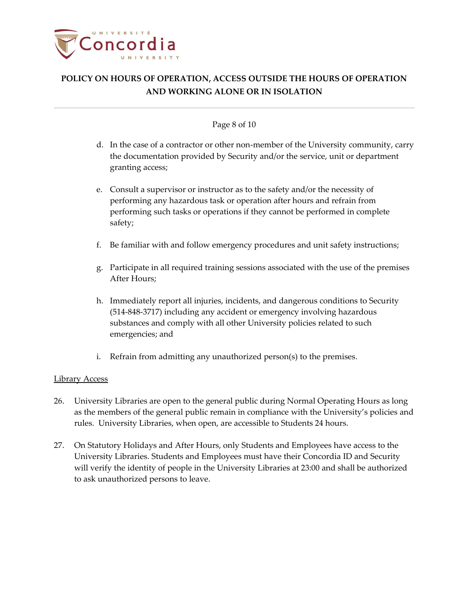

#### Page 8 of 10

- d. In the case of a contractor or other non-member of the University community, carry the documentation provided by Security and/or the service, unit or department granting access;
- e. Consult a supervisor or instructor as to the safety and/or the necessity of performing any hazardous task or operation after hours and refrain from performing such tasks or operations if they cannot be performed in complete safety;
- f. Be familiar with and follow emergency procedures and unit safety instructions;
- g. Participate in all required training sessions associated with the use of the premises After Hours;
- h. Immediately report all injuries, incidents, and dangerous conditions to Security (514-848-3717) including any accident or emergency involving hazardous substances and comply with all other University policies related to such emergencies; and
- i. Refrain from admitting any unauthorized person(s) to the premises.

## Library Access

- 26. University Libraries are open to the general public during Normal Operating Hours as long as the members of the general public remain in compliance with the University's policies and rules. University Libraries, when open, are accessible to Students 24 hours.
- 27. On Statutory Holidays and After Hours, only Students and Employees have access to the University Libraries. Students and Employees must have their Concordia ID and Security will verify the identity of people in the University Libraries at 23:00 and shall be authorized to ask unauthorized persons to leave.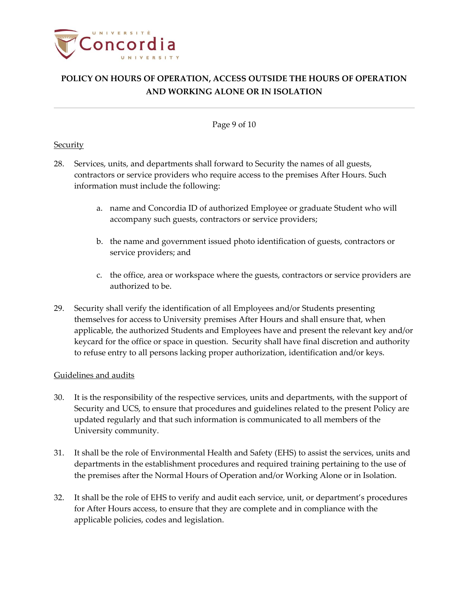

Page 9 of 10

#### **Security**

- 28. Services, units, and departments shall forward to Security the names of all guests, contractors or service providers who require access to the premises After Hours. Such information must include the following:
	- a. name and Concordia ID of authorized Employee or graduate Student who will accompany such guests, contractors or service providers;
	- b. the name and government issued photo identification of guests, contractors or service providers; and
	- c. the office, area or workspace where the guests, contractors or service providers are authorized to be.
- 29. Security shall verify the identification of all Employees and/or Students presenting themselves for access to University premises After Hours and shall ensure that, when applicable, the authorized Students and Employees have and present the relevant key and/or keycard for the office or space in question. Security shall have final discretion and authority to refuse entry to all persons lacking proper authorization, identification and/or keys.

## Guidelines and audits

- 30. It is the responsibility of the respective services, units and departments, with the support of Security and UCS, to ensure that procedures and guidelines related to the present Policy are updated regularly and that such information is communicated to all members of the University community.
- 31. It shall be the role of Environmental Health and Safety (EHS) to assist the services, units and departments in the establishment procedures and required training pertaining to the use of the premises after the Normal Hours of Operation and/or Working Alone or in Isolation.
- 32. It shall be the role of EHS to verify and audit each service, unit, or department's procedures for After Hours access, to ensure that they are complete and in compliance with the applicable policies, codes and legislation.